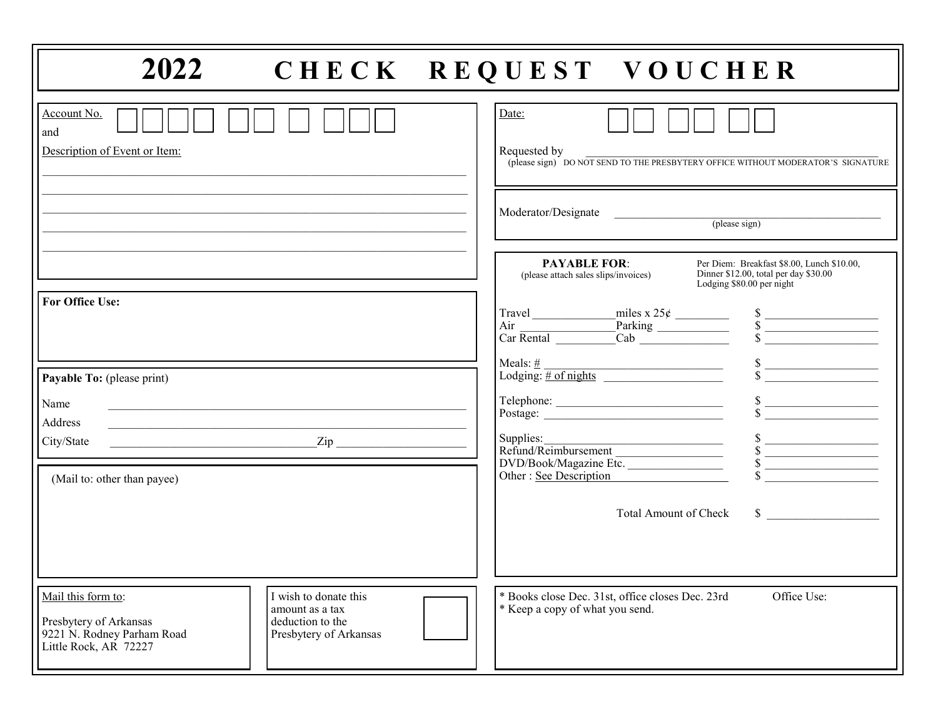| 2022                                                                                                                                                                                                                                                                                                            | CHECK REQUEST VOUCHER                                                                                                                                                                                                                                                                                                                                                                                                                                                                                                                                                                                                                                                                                                                |
|-----------------------------------------------------------------------------------------------------------------------------------------------------------------------------------------------------------------------------------------------------------------------------------------------------------------|--------------------------------------------------------------------------------------------------------------------------------------------------------------------------------------------------------------------------------------------------------------------------------------------------------------------------------------------------------------------------------------------------------------------------------------------------------------------------------------------------------------------------------------------------------------------------------------------------------------------------------------------------------------------------------------------------------------------------------------|
| Account No.<br>and<br>Description of Event or Item:                                                                                                                                                                                                                                                             | Date:<br>Requested by<br>(please sign) DO NOT SEND TO THE PRESBYTERY OFFICE WITHOUT MODERATOR'S SIGNATURE                                                                                                                                                                                                                                                                                                                                                                                                                                                                                                                                                                                                                            |
|                                                                                                                                                                                                                                                                                                                 | Moderator/Designate<br><u> 1990 - John Barn Barn, mars a</u><br>(hlease sign)                                                                                                                                                                                                                                                                                                                                                                                                                                                                                                                                                                                                                                                        |
|                                                                                                                                                                                                                                                                                                                 | <b>PAYABLE FOR:</b><br>Per Diem: Breakfast \$8.00, Lunch \$10.00,<br>Dinner \$12.00, total per day \$30.00<br>(please attach sales slips/invoices)<br>Lodging \$80.00 per night                                                                                                                                                                                                                                                                                                                                                                                                                                                                                                                                                      |
| <b>For Office Use:</b>                                                                                                                                                                                                                                                                                          | $\begin{array}{ l l }\n \hline \text{Travel} & \text{miles x } 25¢ & \text{\nAir} \\  \hline \text{Air} & \text{Parking} & \text{\nS} \\  \hline \text{Car Rental} & \text{Cab} & \text{\nS} \\  \hline \end{array}$                                                                                                                                                                                                                                                                                                                                                                                                                                                                                                                 |
| Payable To: (please print)                                                                                                                                                                                                                                                                                      | Meals: $\frac{\#}{\# \text{ of nights}}$<br>$\begin{array}{c c} \n\text{S} & \text{S} \n\end{array}$                                                                                                                                                                                                                                                                                                                                                                                                                                                                                                                                                                                                                                 |
| Name<br>and the control of the control of the control of the control of the control of the control of the control of the<br><b>Address</b><br><u> 1980 - Johann Barbara, martin amerikan basal dan berasal dalam basal dalam basal dalam basal dalam basal dala</u><br>$\frac{2ip}{\sqrt{1-p^2}}$<br>City/State | Telephone: Samuel Charles and Samuel Charles and Samuel Charles and Samuel Charles and Samuel Charles and Samuel Charles and Samuel Charles and Samuel Charles and Samuel Charles and Samuel Charles and Samuel Charles and Sa<br>Supplies:<br>Supplies:<br>Refund/Reimbursement<br>DVD/Book/Magazine Etc.                                                                                                                                                                                                                                                                                                                                                                                                                           |
| (Mail to: other than payee)                                                                                                                                                                                                                                                                                     | $\begin{array}{c c}\nS & \xrightarrow{\quad} & \xrightarrow{\quad} & \xrightarrow{\quad} & \xrightarrow{\quad} & \xrightarrow{\quad} & \xrightarrow{\quad} & \xrightarrow{\quad} & \xrightarrow{\quad} & \xrightarrow{\quad} & \xrightarrow{\quad} & \xrightarrow{\quad} & \xrightarrow{\quad} & \xrightarrow{\quad} & \xrightarrow{\quad} & \xrightarrow{\quad} & \xrightarrow{\quad} & \xrightarrow{\quad} & \xrightarrow{\quad} & \xrightarrow{\quad} & \xrightarrow{\quad} & \xrightarrow{\quad} & \xrightarrow{\quad} & \xrightarrow{\quad} & \xrightarrow{\quad} & \xrightarrow{\quad} & \xrightarrow{\quad} & \xrightarrow{\quad} & \xrightarrow{\quad} & \xrightarrow{\quad} & \xrightarrow{\quad$<br>Other: See Description |
|                                                                                                                                                                                                                                                                                                                 | $\sim$<br><b>Total Amount of Check</b>                                                                                                                                                                                                                                                                                                                                                                                                                                                                                                                                                                                                                                                                                               |
| I wish to donate this<br>Mail this form to:<br>amount as a tax<br>deduction to the<br>Presbytery of Arkansas<br>9221 N. Rodney Parham Road<br>Presbytery of Arkansas<br>Little Rock, AR 72227                                                                                                                   | * Books close Dec. 31st, office closes Dec. 23rd<br>Office Use:<br>* Keep a copy of what you send.                                                                                                                                                                                                                                                                                                                                                                                                                                                                                                                                                                                                                                   |